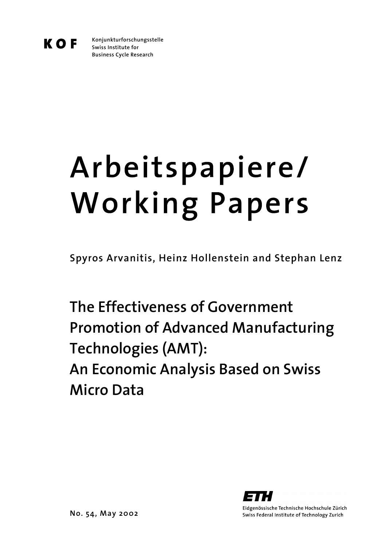КОЕ

**Konjunkturforschungsstelle Swiss Institute for Business Cycle Research**

# Arbeitspapiere/ **Working Papers**

**Spyros Arvanitis, Heinz Hollenstein and Stephan Lenz**

**The Effectiveness of Government Promotion of Advanced Manufacturing Technologies (AMT): An Economic Analysis Based on Swiss Micro Data**



Eidgenössische Technische Hochschule Zürich Swiss Federal Institute of Technology Zurich

**No. 54, May 2002**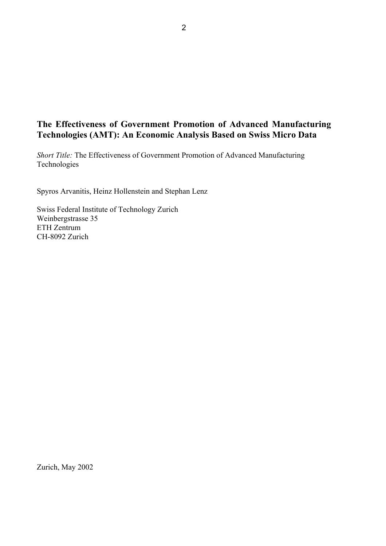# **The Effectiveness of Government Promotion of Advanced Manufacturing Technologies (AMT): An Economic Analysis Based on Swiss Micro Data**

*Short Title:* The Effectiveness of Government Promotion of Advanced Manufacturing Technologies

Spyros Arvanitis, Heinz Hollenstein and Stephan Lenz

Swiss Federal Institute of Technology Zurich Weinbergstrasse 35 ETH Zentrum CH-8092 Zurich

Zurich, May 2002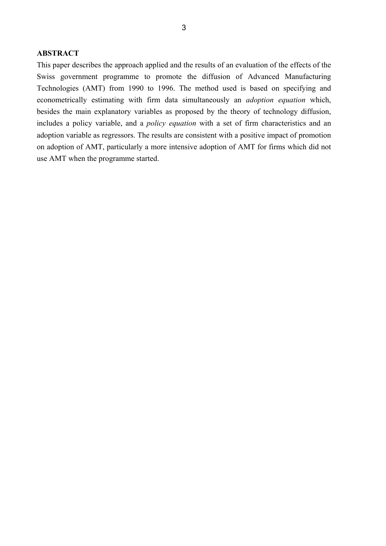#### **ABSTRACT**

This paper describes the approach applied and the results of an evaluation of the effects of the Swiss government programme to promote the diffusion of Advanced Manufacturing Technologies (AMT) from 1990 to 1996. The method used is based on specifying and econometrically estimating with firm data simultaneously an *adoption equation* which, besides the main explanatory variables as proposed by the theory of technology diffusion, includes a policy variable, and a *policy equation* with a set of firm characteristics and an adoption variable as regressors. The results are consistent with a positive impact of promotion on adoption of AMT, particularly a more intensive adoption of AMT for firms which did not use AMT when the programme started.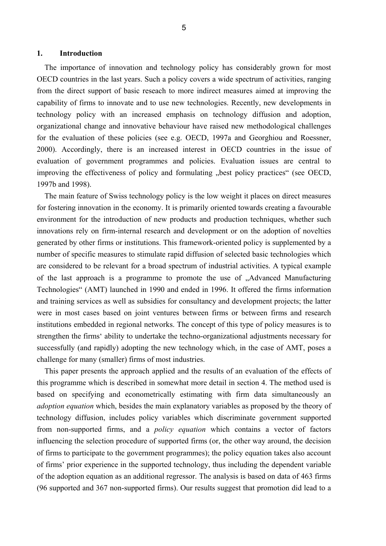#### **1. Introduction**

 The importance of innovation and technology policy has considerably grown for most OECD countries in the last years. Such a policy covers a wide spectrum of activities, ranging from the direct support of basic reseach to more indirect measures aimed at improving the capability of firms to innovate and to use new technologies. Recently, new developments in technology policy with an increased emphasis on technology diffusion and adoption, organizational change and innovative behaviour have raised new methodological challenges for the evaluation of these policies (see e.g. OECD, 1997a and Georghiou and Roessner, 2000). Accordingly, there is an increased interest in OECD countries in the issue of evaluation of government programmes and policies. Evaluation issues are central to improving the effectiveness of policy and formulating "best policy practices" (see OECD, 1997b and 1998).

 The main feature of Swiss technology policy is the low weight it places on direct measures for fostering innovation in the economy. It is primarily oriented towards creating a favourable environment for the introduction of new products and production techniques, whether such innovations rely on firm-internal research and development or on the adoption of novelties generated by other firms or institutions. This framework-oriented policy is supplemented by a number of specific measures to stimulate rapid diffusion of selected basic technologies which are considered to be relevant for a broad spectrum of industrial activities. A typical example of the last approach is a programme to promote the use of "Advanced Manufacturing Technologies" (AMT) launched in 1990 and ended in 1996. It offered the firms information and training services as well as subsidies for consultancy and development projects; the latter were in most cases based on joint ventures between firms or between firms and research institutions embedded in regional networks. The concept of this type of policy measures is to strengthen the firms' ability to undertake the techno-organizational adjustments necessary for successfully (and rapidly) adopting the new technology which, in the case of AMT, poses a challenge for many (smaller) firms of most industries.

 This paper presents the approach applied and the results of an evaluation of the effects of this programme which is described in somewhat more detail in section 4. The method used is based on specifying and econometrically estimating with firm data simultaneously an *adoption equation* which, besides the main explanatory variables as proposed by the theory of technology diffusion, includes policy variables which discriminate government supported from non-supported firms, and a *policy equation* which contains a vector of factors influencing the selection procedure of supported firms (or, the other way around, the decision of firms to participate to the government programmes); the policy equation takes also account of firms' prior experience in the supported technology, thus including the dependent variable of the adoption equation as an additional regressor. The analysis is based on data of 463 firms (96 supported and 367 non-supported firms). Our results suggest that promotion did lead to a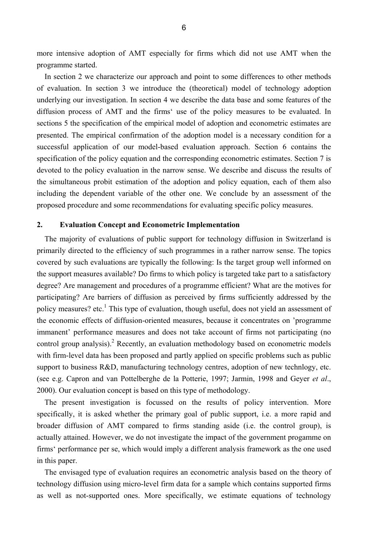more intensive adoption of AMT especially for firms which did not use AMT when the programme started.

 In section 2 we characterize our approach and point to some differences to other methods of evaluation. In section 3 we introduce the (theoretical) model of technology adoption underlying our investigation. In section 4 we describe the data base and some features of the diffusion process of AMT and the firms' use of the policy measures to be evaluated. In sections 5 the specification of the empirical model of adoption and econometric estimates are presented. The empirical confirmation of the adoption model is a necessary condition for a successful application of our model-based evaluation approach. Section 6 contains the specification of the policy equation and the corresponding econometric estimates. Section 7 is devoted to the policy evaluation in the narrow sense. We describe and discuss the results of the simultaneous probit estimation of the adoption and policy equation, each of them also including the dependent variable of the other one. We conclude by an assessment of the proposed procedure and some recommendations for evaluating specific policy measures.

#### **2. Evaluation Concept and Econometric Implementation**

 The majority of evaluations of public support for technology diffusion in Switzerland is primarily directed to the efficiency of such programmes in a rather narrow sense. The topics covered by such evaluations are typically the following: Is the target group well informed on the support measures available? Do firms to which policy is targeted take part to a satisfactory degree? Are management and procedures of a programme efficient? What are the motives for participating? Are barriers of diffusion as perceived by firms sufficiently addressed by the policy measures? etc.<sup>1</sup> This type of evaluation, though useful, does not yield an assessment of the economic effects of diffusion-oriented measures, because it concentrates on 'programme immanent' performance measures and does not take account of firms not participating (no control group analysis).<sup>2</sup> Recently, an evaluation methodology based on econometric models with firm-level data has been proposed and partly applied on specific problems such as public support to business R&D, manufacturing technology centres, adoption of new technlogy, etc. (see e.g. Capron and van Pottelberghe de la Potterie, 1997; Jarmin, 1998 and Geyer *et al*., 2000). Our evaluation concept is based on this type of methodology.

 The present investigation is focussed on the results of policy intervention. More specifically, it is asked whether the primary goal of public support, i.e. a more rapid and broader diffusion of AMT compared to firms standing aside (i.e. the control group), is actually attained. However, we do not investigate the impact of the government progamme on firms' performance per se, which would imply a different analysis framework as the one used in this paper.

 The envisaged type of evaluation requires an econometric analysis based on the theory of technology diffusion using micro-level firm data for a sample which contains supported firms as well as not-supported ones. More specifically, we estimate equations of technology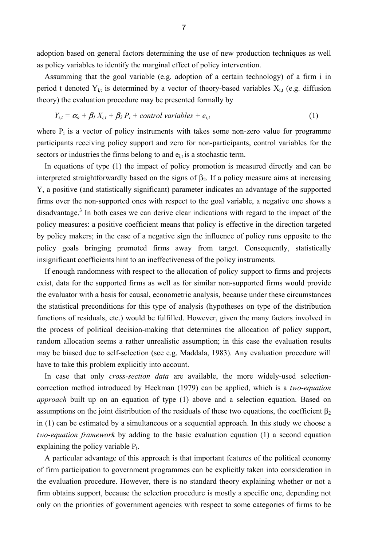adoption based on general factors determining the use of new production techniques as well as policy variables to identify the marginal effect of policy intervention.

 Assumming that the goal variable (e.g. adoption of a certain technology) of a firm i in period t denoted  $Y_{i,t}$  is determined by a vector of theory-based variables  $X_{i,t}$  (e.g. diffusion theory) the evaluation procedure may be presented formally by

$$
Y_{i,t} = \alpha_o + \beta_l X_{i,t} + \beta_2 P_i + control\ variables + e_{i,t}
$$
 (1)

where  $P_i$  is a vector of policy instruments with takes some non-zero value for programme participants receiving policy support and zero for non-participants, control variables for the sectors or industries the firms belong to and  $e_{i,t}$  is a stochastic term.

 In equations of type (1) the impact of policy promotion is measured directly and can be interpreted straightforwardly based on the signs of  $\beta_2$ . If a policy measure aims at increasing Y, a positive (and statistically significant) parameter indicates an advantage of the supported firms over the non-supported ones with respect to the goal variable, a negative one shows a disadvantage.<sup>3</sup> In both cases we can derive clear indications with regard to the impact of the policy measures: a positive coefficient means that policy is effective in the direction targeted by policy makers; in the case of a negative sign the influence of policy runs opposite to the policy goals bringing promoted firms away from target. Consequently, statistically insignificant coefficients hint to an ineffectiveness of the policy instruments.

 If enough randomness with respect to the allocation of policy support to firms and projects exist, data for the supported firms as well as for similar non-supported firms would provide the evaluator with a basis for causal, econometric analysis, because under these circumstances the statistical preconditions for this type of analysis (hypotheses on type of the distribution functions of residuals, etc.) would be fulfilled. However, given the many factors involved in the process of political decision-making that determines the allocation of policy support, random allocation seems a rather unrealistic assumption; in this case the evaluation results may be biased due to self-selection (see e.g. Maddala, 1983). Any evaluation procedure will have to take this problem explicitly into account.

 In case that only *cross-section data* are available, the more widely-used selectioncorrection method introduced by Heckman (1979) can be applied, which is a *two-equation approach* built up on an equation of type (1) above and a selection equation. Based on assumptions on the joint distribution of the residuals of these two equations, the coefficient  $\beta_2$ in (1) can be estimated by a simultaneous or a sequential approach. In this study we choose a *two-equation framework* by adding to the basic evaluation equation (1) a second equation explaining the policy variable Pi.

 A particular advantage of this approach is that important features of the political economy of firm participation to government programmes can be explicitly taken into consideration in the evaluation procedure. However, there is no standard theory explaining whether or not a firm obtains support, because the selection procedure is mostly a specific one, depending not only on the priorities of government agencies with respect to some categories of firms to be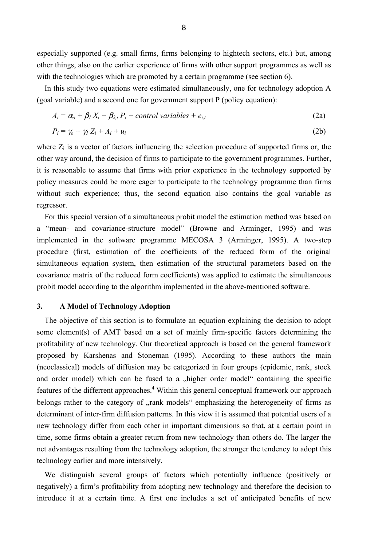especially supported (e.g. small firms, firms belonging to hightech sectors, etc.) but, among other things, also on the earlier experience of firms with other support programmes as well as with the technologies which are promoted by a certain programme (see section 6).

 In this study two equations were estimated simultaneously, one for technology adoption A (goal variable) and a second one for government support P (policy equation):

$$
A_i = \alpha_o + \beta_l X_i + \beta_{2,i} P_i + control\ variables + e_{i,t}
$$
 (2a)

$$
P_i = \gamma_0 + \gamma_1 Z_i + A_i + u_i \tag{2b}
$$

where  $Z_i$  is a vector of factors influencing the selection procedure of supported firms or, the other way around, the decision of firms to participate to the government programmes. Further, it is reasonable to assume that firms with prior experience in the technology supported by policy measures could be more eager to participate to the technology programme than firms without such experience; thus, the second equation also contains the goal variable as regressor.

 For this special version of a simultaneous probit model the estimation method was based on a "mean- and covariance-structure model" (Browne and Arminger, 1995) and was implemented in the software programme MECOSA 3 (Arminger, 1995). A two-step procedure (first, estimation of the coefficients of the reduced form of the original simultaneous equation system, then estimation of the structural parameters based on the covariance matrix of the reduced form coefficients) was applied to estimate the simultaneous probit model according to the algorithm implemented in the above-mentioned software.

#### **3. A Model of Technology Adoption**

 The objective of this section is to formulate an equation explaining the decision to adopt some element(s) of AMT based on a set of mainly firm-specific factors determining the profitability of new technology. Our theoretical approach is based on the general framework proposed by Karshenas and Stoneman (1995). According to these authors the main (neoclassical) models of diffusion may be categorized in four groups (epidemic, rank, stock and order model) which can be fused to a "higher order model" containing the specific features of the differrent approaches.<sup>4</sup> Within this general conceptual framework our approach belongs rather to the category of "rank models" emphasizing the heterogeneity of firms as determinant of inter-firm diffusion patterns. In this view it is assumed that potential users of a new technology differ from each other in important dimensions so that, at a certain point in time, some firms obtain a greater return from new technology than others do. The larger the net advantages resulting from the technology adoption, the stronger the tendency to adopt this technology earlier and more intensively.

 We distinguish several groups of factors which potentially influence (positively or negatively) a firm's profitability from adopting new technology and therefore the decision to introduce it at a certain time. A first one includes a set of anticipated benefits of new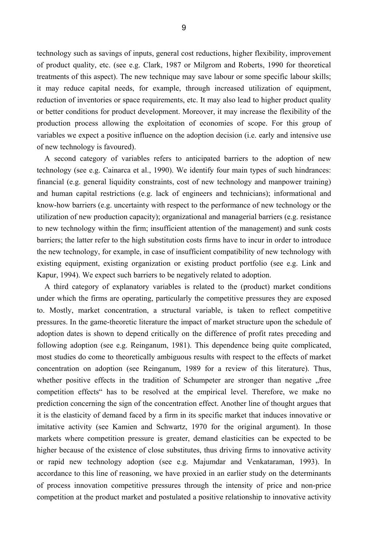technology such as savings of inputs, general cost reductions, higher flexibility, improvement of product quality, etc. (see e.g. Clark, 1987 or Milgrom and Roberts, 1990 for theoretical treatments of this aspect). The new technique may save labour or some specific labour skills; it may reduce capital needs, for example, through increased utilization of equipment, reduction of inventories or space requirements, etc. It may also lead to higher product quality or better conditions for product development. Moreover, it may increase the flexibility of the production process allowing the exploitation of economies of scope. For this group of variables we expect a positive influence on the adoption decision (i.e. early and intensive use of new technology is favoured).

 A second category of variables refers to anticipated barriers to the adoption of new technology (see e.g. Cainarca et al., 1990). We identify four main types of such hindrances: financial (e.g. general liquidity constraints, cost of new technology and manpower training) and human capital restrictions (e.g. lack of engineers and technicians); informational and know-how barriers (e.g. uncertainty with respect to the performance of new technology or the utilization of new production capacity); organizational and managerial barriers (e.g. resistance to new technology within the firm; insufficient attention of the management) and sunk costs barriers; the latter refer to the high substitution costs firms have to incur in order to introduce the new technology, for example, in case of insufficient compatibility of new technology with existing equipment, existing organization or existing product portfolio (see e.g. Link and Kapur, 1994). We expect such barriers to be negatively related to adoption.

 A third category of explanatory variables is related to the (product) market conditions under which the firms are operating, particularly the competitive pressures they are exposed to. Mostly, market concentration, a structural variable, is taken to reflect competitive pressures. In the game-theoretic literature the impact of market structure upon the schedule of adoption dates is shown to depend critically on the difference of profit rates preceding and following adoption (see e.g. Reinganum, 1981). This dependence being quite complicated, most studies do come to theoretically ambiguous results with respect to the effects of market concentration on adoption (see Reinganum, 1989 for a review of this literature). Thus, whether positive effects in the tradition of Schumpeter are stronger than negative free competition effects" has to be resolved at the empirical level. Therefore, we make no prediction concerning the sign of the concentration effect. Another line of thought argues that it is the elasticity of demand faced by a firm in its specific market that induces innovative or imitative activity (see Kamien and Schwartz, 1970 for the original argument). In those markets where competition pressure is greater, demand elasticities can be expected to be higher because of the existence of close substitutes, thus driving firms to innovative activity or rapid new technology adoption (see e.g. Majumdar and Venkataraman, 1993). In accordance to this line of reasoning, we have proxied in an earlier study on the determinants of process innovation competitive pressures through the intensity of price and non-price competition at the product market and postulated a positive relationship to innovative activity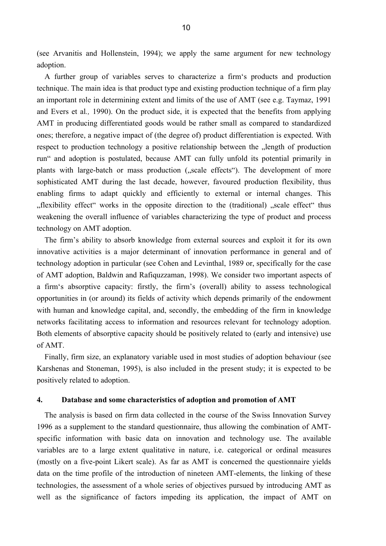(see Arvanitis and Hollenstein, 1994); we apply the same argument for new technology adoption.

 A further group of variables serves to characterize a firm's products and production technique. The main idea is that product type and existing production technique of a firm play an important role in determining extent and limits of the use of AMT (see e.g. Taymaz, 1991 and Evers et al*.,* 1990). On the product side, it is expected that the benefits from applying AMT in producing differentiated goods would be rather small as compared to standardized ones; therefore, a negative impact of (the degree of) product differentiation is expected. With respect to production technology a positive relationship between the length of production run" and adoption is postulated, because AMT can fully unfold its potential primarily in plants with large-batch or mass production ("scale effects"). The development of more sophisticated AMT during the last decade, however, favoured production flexibility, thus enabling firms to adapt quickly and efficiently to external or internal changes. This "flexibility effect" works in the opposite direction to the (traditional) "scale effect" thus weakening the overall influence of variables characterizing the type of product and process technology on AMT adoption.

 The firm's ability to absorb knowledge from external sources and exploit it for its own innovative activities is a major determinant of innovation performance in general and of technology adoption in particular (see Cohen and Levinthal, 1989 or, specifically for the case of AMT adoption, Baldwin and Rafiquzzaman, 1998). We consider two important aspects of a firm's absorptive capacity: firstly, the firm's (overall) ability to assess technological opportunities in (or around) its fields of activity which depends primarily of the endowment with human and knowledge capital, and, secondly, the embedding of the firm in knowledge networks facilitating access to information and resources relevant for technology adoption. Both elements of absorptive capacity should be positively related to (early and intensive) use of AMT.

 Finally, firm size, an explanatory variable used in most studies of adoption behaviour (see Karshenas and Stoneman, 1995), is also included in the present study; it is expected to be positively related to adoption.

#### **4. Database and some characteristics of adoption and promotion of AMT**

 The analysis is based on firm data collected in the course of the Swiss Innovation Survey 1996 as a supplement to the standard questionnaire, thus allowing the combination of AMTspecific information with basic data on innovation and technology use. The available variables are to a large extent qualitative in nature, i.e. categorical or ordinal measures (mostly on a five-point Likert scale). As far as AMT is concerned the questionnaire yields data on the time profile of the introduction of nineteen AMT-elements, the linking of these technologies, the assessment of a whole series of objectives pursued by introducing AMT as well as the significance of factors impeding its application, the impact of AMT on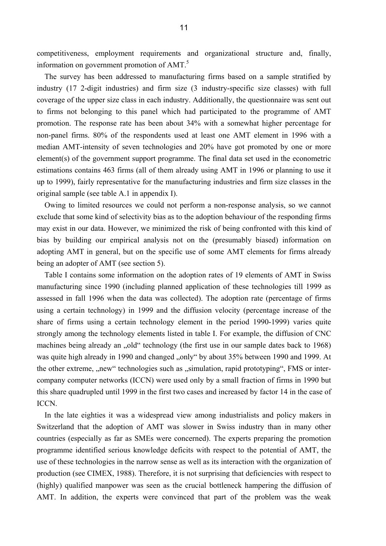competitiveness, employment requirements and organizational structure and, finally, information on government promotion of AMT.<sup>5</sup>

 The survey has been addressed to manufacturing firms based on a sample stratified by industry (17 2-digit industries) and firm size (3 industry-specific size classes) with full coverage of the upper size class in each industry. Additionally, the questionnaire was sent out to firms not belonging to this panel which had participated to the programme of AMT promotion. The response rate has been about 34% with a somewhat higher percentage for non-panel firms. 80% of the respondents used at least one AMT element in 1996 with a median AMT-intensity of seven technologies and 20% have got promoted by one or more element(s) of the government support programme. The final data set used in the econometric estimations contains 463 firms (all of them already using AMT in 1996 or planning to use it up to 1999), fairly representative for the manufacturing industries and firm size classes in the original sample (see table A.1 in appendix I).

 Owing to limited resources we could not perform a non-response analysis, so we cannot exclude that some kind of selectivity bias as to the adoption behaviour of the responding firms may exist in our data. However, we minimized the risk of being confronted with this kind of bias by building our empirical analysis not on the (presumably biased) information on adopting AMT in general, but on the specific use of some AMT elements for firms already being an adopter of AMT (see section 5).

 Table I contains some information on the adoption rates of 19 elements of AMT in Swiss manufacturing since 1990 (including planned application of these technologies till 1999 as assessed in fall 1996 when the data was collected). The adoption rate (percentage of firms using a certain technology) in 1999 and the diffusion velocity (percentage increase of the share of firms using a certain technology element in the period 1990-1999) varies quite strongly among the technology elements listed in table I. For example, the diffusion of CNC machines being already an "old" technology (the first use in our sample dates back to 1968) was quite high already in 1990 and changed "only" by about 35% between 1990 and 1999. At the other extreme, "new" technologies such as "simulation, rapid prototyping", FMS or intercompany computer networks (ICCN) were used only by a small fraction of firms in 1990 but this share quadrupled until 1999 in the first two cases and increased by factor 14 in the case of ICCN.

 In the late eighties it was a widespread view among industrialists and policy makers in Switzerland that the adoption of AMT was slower in Swiss industry than in many other countries (especially as far as SMEs were concerned). The experts preparing the promotion programme identified serious knowledge deficits with respect to the potential of AMT, the use of these technologies in the narrow sense as well as its interaction with the organization of production (see CIMEX, 1988). Therefore, it is not surprising that deficiencies with respect to (highly) qualified manpower was seen as the crucial bottleneck hampering the diffusion of AMT. In addition, the experts were convinced that part of the problem was the weak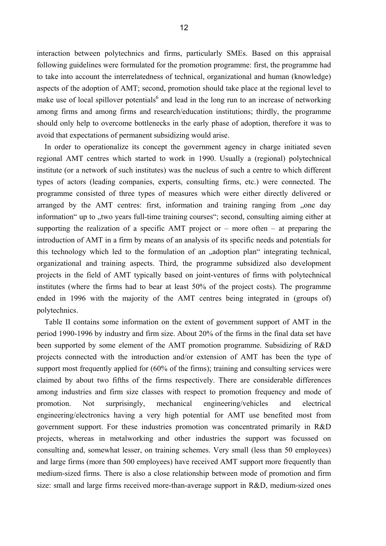interaction between polytechnics and firms, particularly SMEs. Based on this appraisal following guidelines were formulated for the promotion programme: first, the programme had to take into account the interrelatedness of technical, organizational and human (knowledge) aspects of the adoption of AMT; second, promotion should take place at the regional level to make use of local spillover potentials<sup>6</sup> and lead in the long run to an increase of networking among firms and among firms and research/education institutions; thirdly, the programme should only help to overcome bottlenecks in the early phase of adoption, therefore it was to avoid that expectations of permanent subsidizing would arise.

 In order to operationalize its concept the government agency in charge initiated seven regional AMT centres which started to work in 1990. Usually a (regional) polytechnical institute (or a network of such institutes) was the nucleus of such a centre to which different types of actors (leading companies, experts, consulting firms, etc.) were connected. The programme consisted of three types of measures which were either directly delivered or arranged by the AMT centres: first, information and training ranging from "one day information" up to "two years full-time training courses"; second, consulting aiming either at supporting the realization of a specific AMT project or – more often – at preparing the introduction of AMT in a firm by means of an analysis of its specific needs and potentials for this technology which led to the formulation of an "adoption plan" integrating technical, organizational and training aspects. Third, the programme subsidized also development projects in the field of AMT typically based on joint-ventures of firms with polytechnical institutes (where the firms had to bear at least 50% of the project costs). The programme ended in 1996 with the majority of the AMT centres being integrated in (groups of) polytechnics.

 Table II contains some information on the extent of government support of AMT in the period 1990-1996 by industry and firm size. About 20% of the firms in the final data set have been supported by some element of the AMT promotion programme. Subsidizing of R&D projects connected with the introduction and/or extension of AMT has been the type of support most frequently applied for  $(60\% \text{ of the firms})$ ; training and consulting services were claimed by about two fifths of the firms respectively. There are considerable differences among industries and firm size classes with respect to promotion frequency and mode of promotion. Not surprisingly, mechanical engineering/vehicles and electrical engineering/electronics having a very high potential for AMT use benefited most from government support. For these industries promotion was concentrated primarily in R&D projects, whereas in metalworking and other industries the support was focussed on consulting and, somewhat lesser, on training schemes. Very small (less than 50 employees) and large firms (more than 500 employees) have received AMT support more frequently than medium-sized firms. There is also a close relationship between mode of promotion and firm size: small and large firms received more-than-average support in R&D, medium-sized ones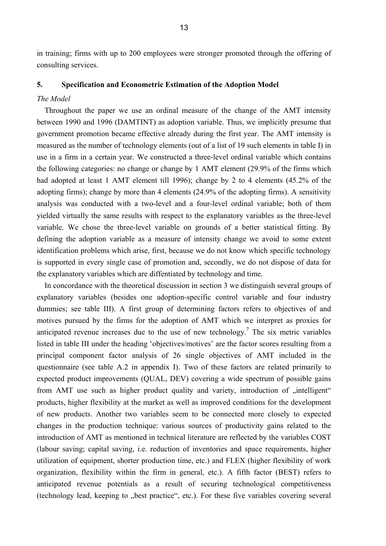in training; firms with up to 200 employees were stronger promoted through the offering of consulting services.

#### **5. Specification and Econometric Estimation of the Adoption Model**

#### *The Model*

 Throughout the paper we use an ordinal measure of the change of the AMT intensity between 1990 and 1996 (DAMTINT) as adoption variable. Thus, we implicitly presume that government promotion became effective already during the first year. The AMT intensity is measured as the number of technology elements (out of a list of 19 such elements in table I) in use in a firm in a certain year. We constructed a three-level ordinal variable which contains the following categories: no change or change by 1 AMT element (29.9% of the firms which had adopted at least 1 AMT element till 1996); change by 2 to 4 elements (45.2% of the adopting firms); change by more than 4 elements (24.9% of the adopting firms). A sensitivity analysis was conducted with a two-level and a four-level ordinal variable; both of them yielded virtually the same results with respect to the explanatory variables as the three-level variable. We chose the three-level variable on grounds of a better statistical fitting. By defining the adoption variable as a measure of intensity change we avoid to some extent identification problems which arise, first, because we do not know which specific technology is supported in every single case of promotion and, secondly, we do not dispose of data for the explanatory variables which are diffentiated by technology and time.

 In concordance with the theoretical discussion in section 3 we distinguish several groups of explanatory variables (besides one adoption-specific control variable and four industry dummies; see table III). A first group of determining factors refers to objectives of and motives pursued by the firms for the adoption of AMT which we interpret as proxies for anticipated revenue increases due to the use of new technology.<sup>7</sup> The six metric variables listed in table III under the heading 'objectives/motives' are the factor scores resulting from a principal component factor analysis of 26 single objectives of AMT included in the questionnaire (see table A.2 in appendix I). Two of these factors are related primarily to expected product improvements (QUAL, DEV) covering a wide spectrum of possible gains from AMT use such as higher product quality and variety, introduction of "intelligent" products, higher flexibility at the market as well as improved conditions for the development of new products. Another two variables seem to be connected more closely to expected changes in the production technique: various sources of productivity gains related to the introduction of AMT as mentioned in technical literature are reflected by the variables COST (labour saving; capital saving, i.e. reduction of inventories and space requirements, higher utilization of equipment, shorter production time, etc.) and FLEX (higher flexibility of work organization, flexibility within the firm in general, etc.). A fifth factor (BEST) refers to anticipated revenue potentials as a result of securing technological competitiveness (technology lead, keeping to "best practice", etc.). For these five variables covering several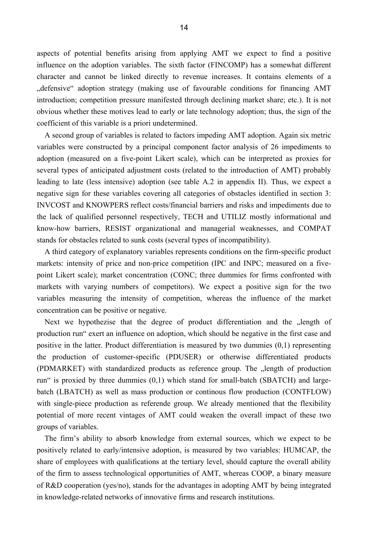aspects of potential benefits arising from applying AMT we expect to find a positive influence on the adoption variables. The sixth factor (FINCOMP) has a somewhat different character and cannot be linked directly to revenue increases. It contains elements of a "defensive" adoption strategy (making use of favourable conditions for financing AMT introduction; competition pressure manifested through declining market share; etc.). It is not obvious whether these motives lead to early or late technology adoption; thus, the sign of the coefficient of this variable is a priori undetermined.

 A second group of variables is related to factors impeding AMT adoption. Again six metric variables were constructed by a principal component factor analysis of 26 impediments to adoption (measured on a five-point Likert scale), which can be interpreted as proxies for several types of anticipated adjustment costs (related to the introduction of AMT) probably leading to late (less intensive) adoption (see table A.2 in appendix II). Thus, we expect a negative sign for these variables covering all categories of obstacles identified in section 3: INVCOST and KNOWPERS reflect costs/financial barriers and risks and impediments due to the lack of qualified personnel respectively, TECH and UTILIZ mostly informational and know-how barriers, RESIST organizational and managerial weaknesses, and COMPAT stands for obstacles related to sunk costs (several types of incompatibility).

 A third category of explanatory variables represents conditions on the firm-specific product markets: intensity of price and non-price competition (IPC and INPC; measured on a fivepoint Likert scale); market concentration (CONC; three dummies for firms confronted with markets with varying numbers of competitors). We expect a positive sign for the two variables measuring the intensity of competition, whereas the influence of the market concentration can be positive or negative.

Next we hypothezise that the degree of product differentiation and the  $n$ length of production run" exert an influence on adoption, which should be negative in the first case and positive in the latter. Product differentiation is measured by two dummies (0,1) representing the production of customer-specific (PDUSER) or otherwise differentiated products (PDMARKET) with standardized products as reference group. The "length of production run" is proxied by three dummies (0,1) which stand for small-batch (SBATCH) and largebatch (LBATCH) as well as mass production or continous flow production (CONTFLOW) with single-piece production as referende group. We already mentioned that the flexibility potential of more recent vintages of AMT could weaken the overall impact of these two groups of variables.

 The firm's ability to absorb knowledge from external sources, which we expect to be positively related to early/intensive adoption, is measured by two variables: HUMCAP, the share of employees with qualifications at the tertiary level, should capture the overall ability of the firm to assess technological opportunities of AMT, whereas COOP, a binary measure of R&D cooperation (yes/no), stands for the advantages in adopting AMT by being integrated in knowledge-related networks of innovative firms and research institutions.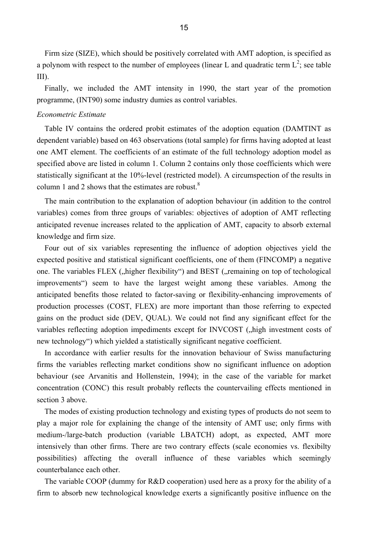Firm size (SIZE), which should be positively correlated with AMT adoption, is specified as a polynom with respect to the number of employees (linear L and quadratic term  $L^2$ ; see table III).

 Finally, we included the AMT intensity in 1990, the start year of the promotion programme, (INT90) some industry dumies as control variables.

#### *Econometric Estimate*

 Table IV contains the ordered probit estimates of the adoption equation (DAMTINT as dependent variable) based on 463 observations (total sample) for firms having adopted at least one AMT element. The coefficients of an estimate of the full technology adoption model as specified above are listed in column 1. Column 2 contains only those coefficients which were statistically significant at the 10%-level (restricted model). A circumspection of the results in column 1 and 2 shows that the estimates are robust.<sup>8</sup>

 The main contribution to the explanation of adoption behaviour (in addition to the control variables) comes from three groups of variables: objectives of adoption of AMT reflecting anticipated revenue increases related to the application of AMT, capacity to absorb external knowledge and firm size.

 Four out of six variables representing the influence of adoption objectives yield the expected positive and statistical significant coefficients, one of them (FINCOMP) a negative one. The variables FLEX ("higher flexibility") and BEST ("remaining on top of techological improvements") seem to have the largest weight among these variables. Among the anticipated benefits those related to factor-saving or flexibility-enhancing improvements of production processes (COST, FLEX) are more important than those referring to expected gains on the product side (DEV, QUAL). We could not find any significant effect for the variables reflecting adoption impediments except for INVCOST ("high investment costs of new technology") which yielded a statistically significant negative coefficient.

 In accordance with earlier results for the innovation behaviour of Swiss manufacturing firms the variables reflecting market conditions show no significant influence on adoption behaviour (see Arvanitis and Hollenstein, 1994); in the case of the variable for market concentration (CONC) this result probably reflects the countervailing effects mentioned in section 3 above.

 The modes of existing production technology and existing types of products do not seem to play a major role for explaining the change of the intensity of AMT use; only firms with medium-/large-batch production (variable LBATCH) adopt, as expected, AMT more intensively than other firms. There are two contrary effects (scale economies vs. flexibilty possibilities) affecting the overall influence of these variables which seemingly counterbalance each other.

 The variable COOP (dummy for R&D cooperation) used here as a proxy for the ability of a firm to absorb new technological knowledge exerts a significantly positive influence on the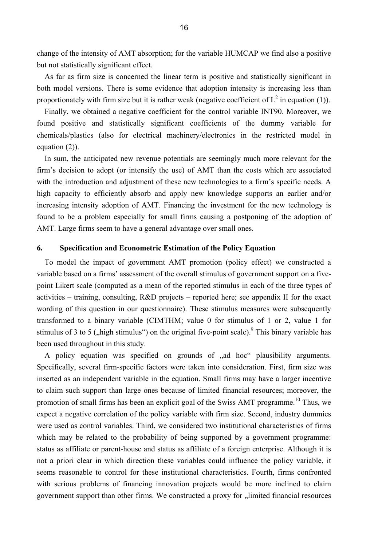change of the intensity of AMT absorption; for the variable HUMCAP we find also a positive but not statistically significant effect.

 As far as firm size is concerned the linear term is positive and statistically significant in both model versions. There is some evidence that adoption intensity is increasing less than proportionately with firm size but it is rather weak (negative coefficient of  $L^2$  in equation (1)).

 Finally, we obtained a negative coefficient for the control variable INT90. Moreover, we found positive and statistically significant coefficients of the dummy variable for chemicals/plastics (also for electrical machinery/electronics in the restricted model in equation (2)).

 In sum, the anticipated new revenue potentials are seemingly much more relevant for the firm's decision to adopt (or intensify the use) of AMT than the costs which are associated with the introduction and adjustment of these new technologies to a firm's specific needs. A high capacity to efficiently absorb and apply new knowledge supports an earlier and/or increasing intensity adoption of AMT. Financing the investment for the new technology is found to be a problem especially for small firms causing a postponing of the adoption of AMT. Large firms seem to have a general advantage over small ones.

#### **6. Specification and Econometric Estimation of the Policy Equation**

 To model the impact of government AMT promotion (policy effect) we constructed a variable based on a firms' assessment of the overall stimulus of government support on a fivepoint Likert scale (computed as a mean of the reported stimulus in each of the three types of activities – training, consulting, R&D projects – reported here; see appendix II for the exact wording of this question in our questionnaire). These stimulus measures were subsequently transformed to a binary variable (CIMTHM; value 0 for stimulus of 1 or 2, value 1 for stimulus of 3 to 5 ( $\mu$ high stimulus") on the original five-point scale). <sup>9</sup> This binary variable has been used throughout in this study.

A policy equation was specified on grounds of "ad hoc" plausibility arguments. Specifically, several firm-specific factors were taken into consideration. First, firm size was inserted as an independent variable in the equation. Small firms may have a larger incentive to claim such support than large ones because of limited financial resources; moreover, the promotion of small firms has been an explicit goal of the Swiss AMT programme.<sup>10</sup> Thus, we expect a negative correlation of the policy variable with firm size. Second, industry dummies were used as control variables. Third, we considered two institutional characteristics of firms which may be related to the probability of being supported by a government programme: status as affiliate or parent-house and status as affiliate of a foreign enterprise. Although it is not a priori clear in which direction these variables could influence the policy variable, it seems reasonable to control for these institutional characteristics. Fourth, firms confronted with serious problems of financing innovation projects would be more inclined to claim government support than other firms. We constructed a proxy for "limited financial resources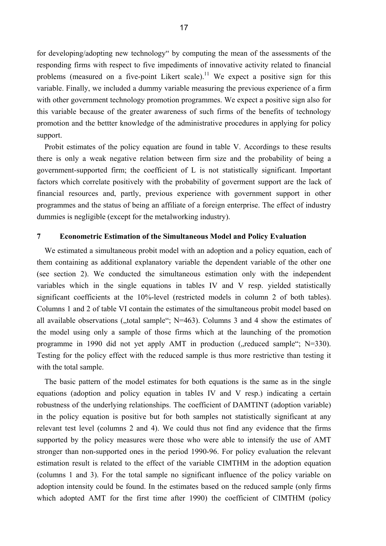for developing/adopting new technology" by computing the mean of the assessments of the responding firms with respect to five impediments of innovative activity related to financial problems (measured on a five-point Likert scale).<sup>11</sup> We expect a positive sign for this variable. Finally, we included a dummy variable measuring the previous experience of a firm with other government technology promotion programmes. We expect a positive sign also for this variable because of the greater awareness of such firms of the benefits of technology promotion and the bettter knowledge of the administrative procedures in applying for policy support.

 Probit estimates of the policy equation are found in table V. Accordings to these results there is only a weak negative relation between firm size and the probability of being a government-supported firm; the coefficient of L is not statistically significant. Important factors which correlate positively with the probability of goverment support are the lack of financial resources and, partly, previous experience with government support in other programmes and the status of being an affiliate of a foreign enterprise. The effect of industry dummies is negligible (except for the metalworking industry).

#### **7 Econometric Estimation of the Simultaneous Model and Policy Evaluation**

 We estimated a simultaneous probit model with an adoption and a policy equation, each of them containing as additional explanatory variable the dependent variable of the other one (see section 2). We conducted the simultaneous estimation only with the independent variables which in the single equations in tables IV and V resp. yielded statistically significant coefficients at the 10%-level (restricted models in column 2 of both tables). Columns 1 and 2 of table VI contain the estimates of the simultaneous probit model based on all available observations ("total sample";  $N=463$ ). Columns 3 and 4 show the estimates of the model using only a sample of those firms which at the launching of the promotion programme in 1990 did not yet apply AMT in production ( $\mu$ reduced sample"; N=330). Testing for the policy effect with the reduced sample is thus more restrictive than testing it with the total sample.

 The basic pattern of the model estimates for both equations is the same as in the single equations (adoption and policy equation in tables IV and V resp.) indicating a certain robustness of the underlying relationships. The coefficient of DAMTINT (adoption variable) in the policy equation is positive but for both samples not statistically significant at any relevant test level (columns 2 and 4). We could thus not find any evidence that the firms supported by the policy measures were those who were able to intensify the use of AMT stronger than non-supported ones in the period 1990-96. For policy evaluation the relevant estimation result is related to the effect of the variable CIMTHM in the adoption equation (columns 1 and 3). For the total sample no significant influence of the policy variable on adoption intensity could be found. In the estimates based on the reduced sample (only firms which adopted AMT for the first time after 1990) the coefficient of CIMTHM (policy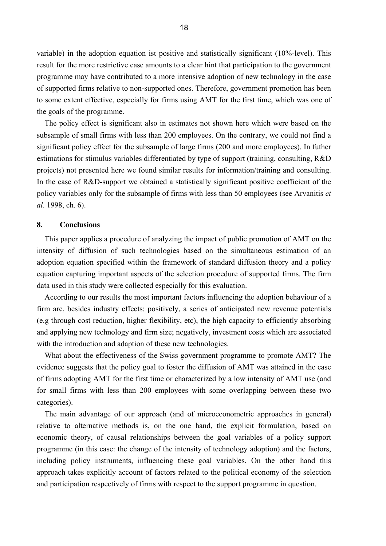variable) in the adoption equation ist positive and statistically significant (10%-level). This result for the more restrictive case amounts to a clear hint that participation to the government programme may have contributed to a more intensive adoption of new technology in the case of supported firms relative to non-supported ones. Therefore, government promotion has been to some extent effective, especially for firms using AMT for the first time, which was one of the goals of the programme.

 The policy effect is significant also in estimates not shown here which were based on the subsample of small firms with less than 200 employees. On the contrary, we could not find a significant policy effect for the subsample of large firms (200 and more employees). In futher estimations for stimulus variables differentiated by type of support (training, consulting, R&D projects) not presented here we found similar results for information/training and consulting. In the case of R&D-support we obtained a statistically significant positive coefficient of the policy variables only for the subsample of firms with less than 50 employees (see Arvanitis *et al*. 1998, ch. 6).

#### **8. Conclusions**

 This paper applies a procedure of analyzing the impact of public promotion of AMT on the intensity of diffusion of such technologies based on the simultaneous estimation of an adoption equation specified within the framework of standard diffusion theory and a policy equation capturing important aspects of the selection procedure of supported firms. The firm data used in this study were collected especially for this evaluation.

 According to our results the most important factors influencing the adoption behaviour of a firm are, besides industry effects: positively, a series of anticipated new revenue potentials (e.g through cost reduction, higher flexibility, etc), the high capacity to efficiently absorbing and applying new technology and firm size; negatively, investment costs which are associated with the introduction and adaption of these new technologies.

 What about the effectiveness of the Swiss government programme to promote AMT? The evidence suggests that the policy goal to foster the diffusion of AMT was attained in the case of firms adopting AMT for the first time or characterized by a low intensity of AMT use (and for small firms with less than 200 employees with some overlapping between these two categories).

 The main advantage of our approach (and of microeconometric approaches in general) relative to alternative methods is, on the one hand, the explicit formulation, based on economic theory, of causal relationships between the goal variables of a policy support programme (in this case: the change of the intensity of technology adoption) and the factors, including policy instruments, influencing these goal variables. On the other hand this approach takes explicitly account of factors related to the political economy of the selection and participation respectively of firms with respect to the support programme in question.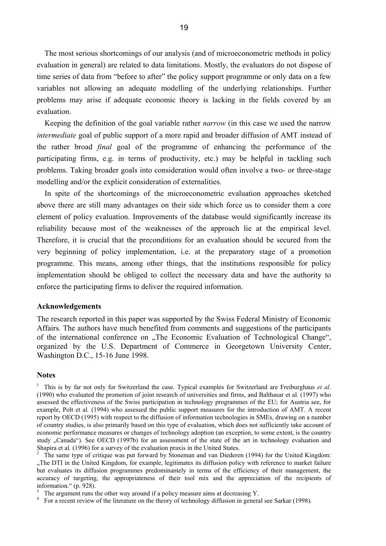The most serious shortcomings of our analysis (and of microeconometric methods in policy evaluation in general) are related to data limitations. Mostly, the evaluators do not dispose of time series of data from "before to after" the policy support programme or only data on a few variables not allowing an adequate modelling of the underlying relationships. Further problems may arise if adequate economic theory is lacking in the fields covered by an evaluation.

 Keeping the definition of the goal variable rather *narrow* (in this case we used the narrow *intermediate* goal of public support of a more rapid and broader diffusion of AMT instead of the rather broad *final* goal of the programme of enhancing the performance of the participating firms, e.g. in terms of productivity, etc.) may be helpful in tackling such problems. Taking broader goals into consideration would often involve a two- or three-stage modelling and/or the explicit consideration of externalities.

 In spite of the shortcomings of the microeconometric evaluation approaches sketched above there are still many advantages on their side which force us to consider them a core element of policy evaluation. Improvements of the database would significantly increase its reliability because most of the weaknesses of the approach lie at the empirical level. Therefore, it is crucial that the preconditions for an evaluation should be secured from the very beginning of policy implementation, i.e. at the preparatory stage of a promotion programme. This means, among other things, that the institutions responsible for policy implementation should be obliged to collect the necessary data and have the authority to enforce the participating firms to deliver the required information.

#### **Acknowledgements**

The research reported in this paper was supported by the Swiss Federal Ministry of Economic Affairs. The authors have much benefited from comments and suggestions of the participants of the international conference on .The Economic Evaluation of Technological Change", organized by the U.S. Department of Commerce in Georgetown University Center, Washington D.C., 15-16 June 1998.

#### **Notes**

<sup>1</sup> This is by far not only for Switzerland the case. Typical examples for Switzerland are Freiburghaus *et al*. (1990) who evaluated the promotion of joint research of universities and firms, and Balthasar et al*.* (1997) who assessed the effectiveness of the Swiss participation in technology programmes of the EU; for Austria see, for example, Polt et al*.* (1994) who assessed the public support measures for the introduction of AMT. A recent report by OECD (1995) with respect to the diffusion of information technologies in SMEs, drawing on a number of country studies, is also primarily based on this type of evaluation, which does not sufficiently take account of economic performance measures or changes of technology adoption (an exception, to some extent, is the country study "Canada"). See OECD (1997b) for an assessment of the state of the art in technology evaluation and Shapira et al*.* (1996) for a survey of the evaluation praxis in the United States.

<sup>2</sup> The same type of critique was put forward by Stoneman and van Diederen (1994) for the United Kingdom: "The DTI in the United Kingdom, for example, legitimates its diffusion policy with reference to market failure but evaluates its diffusion programmes predominantely in terms of the efficiency of their management, the accuracy of targeting, the appropriateness of their tool mix and the appreciation of the recipients of information." (p. 928).

 $3\sigma$  The argument runs the other way around if a policy measure aims at decreasing Y.

<sup>4</sup> For a recent review of the literature on the theory of technology diffusion in general see Sarkar (1998).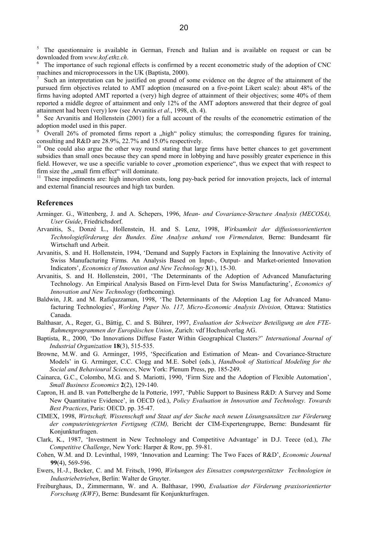<sup>5</sup> The questionnaire is available in German, French and Italian and is available on request or can be downloaded from *www.kof.ethz.ch*.

The importance of such regional effects is confirmed by a recent econometric study of the adoption of CNC machines and microprocessors in the UK (Baptista, 2000).

Such an interpretation can be justified on ground of some evidence on the degree of the attainment of the pursued firm objectives related to AMT adoption (measured on a five-point Likert scale): about 48% of the firms having adopted AMT reported a (very) high degree of attainment of their objectives; some 40% of them reported a middle degree of attainment and only 12% of the AMT adoptors answered that their degree of goal attainment had been (very) low (see Arvanitis *et al*., 1998, ch. 4).

<sup>8</sup> See Arvanitis and Hollenstein (2001) for a full account of the results of the econometric estimation of the adoption model used in this paper.

Overall 26% of promoted firms report a "high" policy stimulus; the corresponding figures for training, consulting and R&D are 28.9%, 22.7% and 15.0% respectively.

<sup>10</sup> One could also argue the other way round stating that large firms have better chances to get government subsidies than small ones because they can spend more in lobbying and have possibly greater experience in this field. However, we use a specific variable to cover "promotion experience", thus we expect that with respect to firm size the "small firm effect" will dominate.

<sup>11</sup> These impediments are: high innovation costs, long pay-back period for innovation projects, lack of internal and external financial resources and high tax burden.

#### **References**

- Arminger. G., Wittenberg, J. and A. Schepers, 1996, *Mean- and Covariance-Structure Analysis (MECOSA), User Guide*, Friedrichsdorf.
- Arvanitis, S., Donzé L., Hollenstein, H. and S. Lenz, 1998, *Wirksamkeit der diffusionsorientierten Technologieförderung des Bundes. Eine Analyse anhand von Firmendaten,* Berne: Bundesamt für Wirtschaft und Arbeit.
- Arvanitis, S. and H. Hollenstein, 1994, 'Demand and Supply Factors in Explaining the Innovative Activity of Swiss Manufacturing Firms. An Analysis Based on Input-, Output- and Market-oriented Innovation Indicators', *Economics of Innovation and New Technology* **3**(1), 15-30.
- Arvanitis, S. and H. Hollenstein, 2001, 'The Determinants of the Adoption of Advanced Manufacturing Technology. An Empirical Analysis Based on Firm-level Data for Swiss Manufacturing', *Economics of Innovation and New Technology* (forthcoming).
- Baldwin, J.R. and M. Rafiquzzaman, 1998, 'The Determinants of the Adoption Lag for Advanced Manufacturing Technologies', *Working Paper No. 117, Micro-Economic Analysis Division,* Ottawa: Statistics Canada.
- Balthasar, A., Reger, G., Bättig, C. and S. Bührer, 1997, *Evaluation der Schweizer Beteiligung an den FTE-Rahmenprogrammen der Europäischen Union*, Zurich: vdf Hochsulverlag AG.
- Baptista, R., 2000, 'Do Innovations Diffuse Faster Within Geographical Clusters*?*' *International Journal of Industrial Organization* **18**(3), 515-535.
- Browne, M.W. and G. Arminger, 1995, 'Specification and Estimation of Mean- and Covariance-Structure Models' in G. Arminger, C.C. Clogg and M.E. Sobel (eds.), *Handbook of Statistical Modeling for the Social and Behavioural Sciences*, New York: Plenum Press, pp. 185-249.
- Cainarca, G.C., Colombo, M.G. and S. Mariotti, 1990, 'Firm Size and the Adoption of Flexible Automation', *Small Business Economics* **2**(2), 129-140.
- Capron, H. and B. van Pottelberghe de la Potterie, 1997, 'Public Support to Business R&D: A Survey and Some New Quantitative Evidence', in OECD (ed.), *Policy Evaluation in Innovation and Technology. Towards Best Practices*, Paris: OECD. pp. 35-47.
- CIMEX, 1998, *Wirtschaft, Wissenschaft und Staat auf der Suche nach neuen Lösungsansätzen zur Förderung der computerintegrierten Fertigung (CIM),* Bericht der CIM-Expertengruppe, Berne: Bundesamt für Konjunkturfragen.
- Clark, K., 1987, 'Investment in New Technology and Competitive Advantage' in D.J. Teece (ed.), *The Competitive Challenge*, New York: Harper & Row, pp. 59-81.
- Cohen, W.M. and D. Levinthal, 1989, 'Innovation and Learning: The Two Faces of R&D', *Economic Journal* **99**(4), 569-596.
- Ewers, H.-J., Becker, C. and M. Fritsch, 1990, *Wirkungen des Einsatzes computergestützter Technologien in Industriebetrieben*, Berlin: Walter de Gruyter.
- Freiburghaus, D., Zimmermann, W. and A. Balthasar, 1990, *Evaluation der Förderung praxisorientierter Forschung (KWF)*, Berne: Bundesamt für Konjunkturfragen.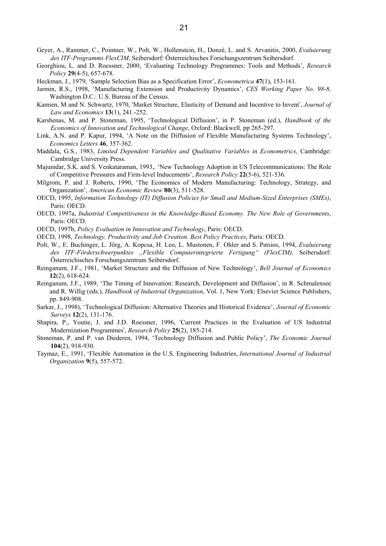- Geyer, A., Rammer, C., Pointner, W., Polt, W., Hollenstein, H., Donzé, L. and S. Arvanitis, 2000, *Evaluierung des ITF-Programms FlexCIM*, Seibersdorf: Österreichisches Forschungszentrum Seibersdorf.
- Georghiou, L. and D. Roessner, 2000, 'Evaluating Technology Programmes: Tools and Methods', *Research Policy* **29**(4-5), 657-678.
- Heckman, J., 1979, 'Sample Selection Bias as a Specification Error', *Econometrica* **47**(1), 153-161.
- Jarmin, R.S., 1998, 'Manufacturing Extension and Productivity Dynamics', *CES Working Paper No. 98-8,* Washington D.C.: U.S. Bureau of the Census.
- Kamien, M and N. Schwartz, 1970, 'Market Structure, Elasticity of Demand and Incentive to Invent', *Journal of Law and Economics* **13**(1), 241.-252.
- Karshenas, M. and P. Stoneman, 1995, 'Technological Diffusion', in P. Stoneman (ed.), *Handbook of the Economics of Innovation and Technological Change*, Oxford: Blackwell, pp 265-297.
- Link, A.N. and P. Kapur, 1994, 'A Note on the Diffusion of Flexible Manufacturing Systems Technology', *Economics Letters* **46**, 357-362.
- Maddala, G.S., 1983, *Limited Dependent Variables and Qualitative Variables in Econometrics*, Cambridge: Cambridge University Press.
- Majumdar, S.K. and S. Venkataraman, 1993,. 'New Technology Adoption in US Telecommunications: The Role of Competitive Pressures and Firm-level Inducements', *Research Policy* **22**(5-6), 521-536.
- Milgrom, P. and J. Roberts, 1990, 'The Economics of Modern Manufacturing: Technology, Strategy, and Organization', *American Economic Review* **80**(3), 511-528.
- OECD, 1995, *Information Technology (IT) Diffusion Policies for Small and Medium-Sized Enterprises (SMEs)*, Paris: OECD.
- OECD, 1997a, *Industrial Competitiveness in the Knowledge-Based Economy. The New Role of Governments*, Paris: OECD.
- OECD, 1997b, *Policy Evaluation in Innovation and Technology*, Paris: OECD.
- OECD, 1998, *Technology, Productivity and Job Creation. Best Policy Practices*, Paris: OECD.
- Polt, W., E. Buchinger, L. Jörg, A. Kopcsa, H. Leo, L. Mustonen, F. Ohler and S. Patsios, 1994, *Evaluierung des ITF-Förderschwerpunktes "Flexible Computerintegrierte Fertigung" (FlexCIM),* Seibersdorf: Österreichisches Forschungszentrum Seibersdorf.
- Reinganum, J.F., 1981, 'Market Structure and the Diffusion of New Technology', *Bell Journal of Economics* **12**(2), 618-624.
- Reinganum, J.F., 1989, 'The Timing of Innovation: Research, Development and Diffusion', in R. Schmalensee and R. Willig (eds.), *Handbook of Industrial Organization*, Vol. 1, New York: Elsevier Science Publishers, pp. 849-908.
- Sarkar, J., 1998), 'Technological Diffusion: Alternative Theories and Historical Evidence', *Journal of Economic Surveys* **12**(2), 131-176.
- Shapira, P., Youtie, J. and J.D. Roessner, 1996, 'Current Practices in the Evaluation of US Industrial Modernization Programmes', *Research Policy* **25**(2), 185-214.
- Stoneman, P. and P. van Diederen, 1994, 'Technology Diffusion and Public Policy', *The Economic Journal* **104**(2), 918-930.
- Taymaz, E., 1991, 'Flexible Automation in the U.S. Engineering Industries, *International Journal of Industrial Organization* **9**(5), 557-572.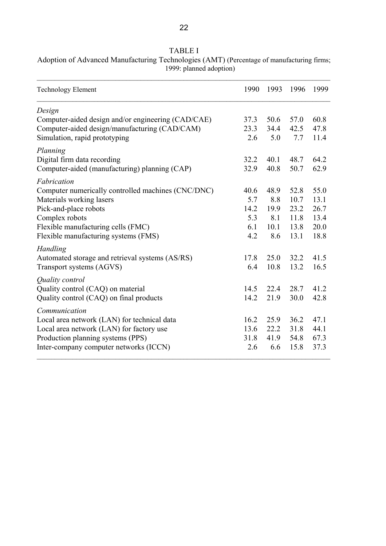| <b>Technology Element</b>                          | 1990 | 1993 | 1996 | 1999 |
|----------------------------------------------------|------|------|------|------|
| Design                                             |      |      |      |      |
| Computer-aided design and/or engineering (CAD/CAE) | 37.3 | 50.6 | 57.0 | 60.8 |
| Computer-aided design/manufacturing (CAD/CAM)      | 23.3 | 34.4 | 42.5 | 47.8 |
| Simulation, rapid prototyping                      | 2.6  | 5.0  | 7.7  | 11.4 |
| Planning                                           |      |      |      |      |
| Digital firm data recording                        | 32.2 | 40.1 | 48.7 | 64.2 |
| Computer-aided (manufacturing) planning (CAP)      | 32.9 | 40.8 | 50.7 | 62.9 |
| Fabrication                                        |      |      |      |      |
| Computer numerically controlled machines (CNC/DNC) | 40.6 | 48.9 | 52.8 | 55.0 |
| Materials working lasers                           | 5.7  | 8.8  | 10.7 | 13.1 |
| Pick-and-place robots                              | 14.2 | 19.9 | 23.2 | 26.7 |
| Complex robots                                     | 5.3  | 8.1  | 11.8 | 13.4 |
| Flexible manufacturing cells (FMC)                 | 6.1  | 10.1 | 13.8 | 20.0 |
| Flexible manufacturing systems (FMS)               | 4.2  | 8.6  | 13.1 | 18.8 |
| Handling                                           |      |      |      |      |
| Automated storage and retrieval systems (AS/RS)    | 17.8 | 25.0 | 32.2 | 41.5 |
| Transport systems (AGVS)                           | 6.4  | 10.8 | 13.2 | 16.5 |
| Quality control                                    |      |      |      |      |
| Quality control (CAQ) on material                  | 14.5 | 22.4 | 28.7 | 41.2 |
| Quality control (CAQ) on final products            | 14.2 | 21.9 | 30.0 | 42.8 |
| Communication                                      |      |      |      |      |
| Local area network (LAN) for technical data        | 16.2 | 25.9 | 36.2 | 47.1 |
| Local area network (LAN) for factory use           | 13.6 | 22.2 | 31.8 | 44.1 |
| Production planning systems (PPS)                  | 31.8 | 41.9 | 54.8 | 67.3 |
| Inter-company computer networks (ICCN)             | 2.6  | 6.6  | 15.8 | 37.3 |
|                                                    |      |      |      |      |

TABLE I Adoption of Advanced Manufacturing Technologies (AMT) (Percentage of manufacturing firms; 1999: planned adoption)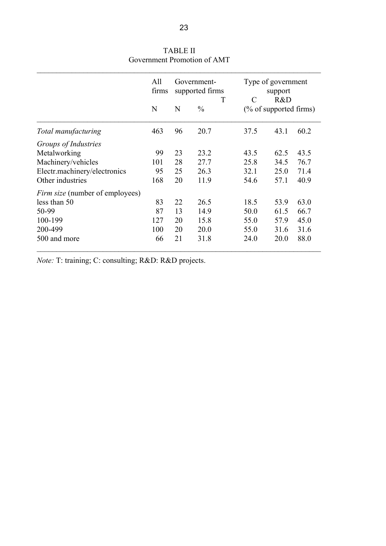|                                                                                                                | All<br>firms<br>N            | Government-<br>supported firms<br>T<br>N<br>$\frac{0}{0}$ |                                      | Type of government<br>support<br>R&D<br>C<br>$\frac{6}{6}$ of supported firms) |                                      |                                      |  |
|----------------------------------------------------------------------------------------------------------------|------------------------------|-----------------------------------------------------------|--------------------------------------|--------------------------------------------------------------------------------|--------------------------------------|--------------------------------------|--|
| Total manufacturing                                                                                            | 463                          | 96                                                        | 20.7                                 | 37.5                                                                           | 43.1                                 | 60.2                                 |  |
| Groups of Industries<br>Metalworking<br>Machinery/vehicles<br>Electr.machinery/electronics<br>Other industries | 99<br>101<br>95<br>168       | 23<br>28<br>25<br>20                                      | 23.2<br>27.7<br>26.3<br>11.9         | 43.5<br>25.8<br>32.1<br>54.6                                                   | 62.5<br>34.5<br>25.0<br>57.1         | 43.5<br>76.7<br>71.4<br>40.9         |  |
| <i>Firm size</i> (number of employees)<br>less than 50<br>50-99<br>100-199<br>200-499<br>500 and more          | 83<br>87<br>127<br>100<br>66 | 22<br>13<br>20<br>20<br>21                                | 26.5<br>14.9<br>15.8<br>20.0<br>31.8 | 18.5<br>50.0<br>55.0<br>55.0<br>24.0                                           | 53.9<br>61.5<br>57.9<br>31.6<br>20.0 | 63.0<br>66.7<br>45.0<br>31.6<br>88.0 |  |

TABLE II Government Promotion of AMT

 $\mathcal{L}_\mathcal{L} = \{ \mathcal{L}_\mathcal{L} = \{ \mathcal{L}_\mathcal{L} = \{ \mathcal{L}_\mathcal{L} = \{ \mathcal{L}_\mathcal{L} = \{ \mathcal{L}_\mathcal{L} = \{ \mathcal{L}_\mathcal{L} = \{ \mathcal{L}_\mathcal{L} = \{ \mathcal{L}_\mathcal{L} = \{ \mathcal{L}_\mathcal{L} = \{ \mathcal{L}_\mathcal{L} = \{ \mathcal{L}_\mathcal{L} = \{ \mathcal{L}_\mathcal{L} = \{ \mathcal{L}_\mathcal{L} = \{ \mathcal{L}_\mathcal{$ 

*Note:* T: training; C: consulting; R&D: R&D projects.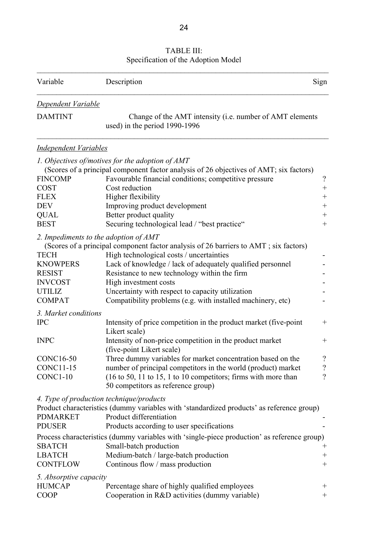| Variable                  | Description                                                                                                                                                                                                   | Sign                     |
|---------------------------|---------------------------------------------------------------------------------------------------------------------------------------------------------------------------------------------------------------|--------------------------|
| Dependent Variable        |                                                                                                                                                                                                               |                          |
| <b>DAMTINT</b>            | Change of the AMT intensity (i.e. number of AMT elements<br>used) in the period 1990-1996                                                                                                                     |                          |
| Independent Variables     |                                                                                                                                                                                                               |                          |
|                           | 1. Objectives of/motives for the adoption of AMT                                                                                                                                                              |                          |
|                           | (Scores of a principal component factor analysis of 26 objectives of AMT; six factors)                                                                                                                        |                          |
| <b>FINCOMP</b>            | Favourable financial conditions; competitive pressure                                                                                                                                                         | $\overline{\mathcal{L}}$ |
| COST                      | Cost reduction                                                                                                                                                                                                | $^{+}$                   |
| <b>FLEX</b>               | Higher flexibility                                                                                                                                                                                            |                          |
| DEV                       | Improving product development                                                                                                                                                                                 | $+$                      |
| QUAL                      | Better product quality                                                                                                                                                                                        | $+$                      |
| <b>BEST</b>               | Securing technological lead / "best practice"                                                                                                                                                                 | $+$                      |
|                           | 2. Impediments to the adoption of AMT                                                                                                                                                                         |                          |
|                           | (Scores of a principal component factor analysis of 26 barriers to AMT; six factors)                                                                                                                          |                          |
| <b>TECH</b>               | High technological costs / uncertainties                                                                                                                                                                      |                          |
| <b>KNOWPERS</b>           | Lack of knowledge / lack of adequately qualified personnel                                                                                                                                                    |                          |
| <b>RESIST</b>             | Resistance to new technology within the firm                                                                                                                                                                  |                          |
| <b>INVCOST</b>            | High investment costs                                                                                                                                                                                         |                          |
| UTILIZ                    | Uncertainty with respect to capacity utilization                                                                                                                                                              |                          |
| <b>COMPAT</b>             | Compatibility problems (e.g. with installed machinery, etc)                                                                                                                                                   |                          |
| 3. Market conditions      |                                                                                                                                                                                                               |                          |
| IPC                       | Intensity of price competition in the product market (five-point)<br>Likert scale)                                                                                                                            | $^{+}$                   |
| <b>INPC</b>               | Intensity of non-price competition in the product market<br>(five-point Likert scale)                                                                                                                         | $^{+}$                   |
| <b>CONC16-50</b>          | Three dummy variables for market concentration based on the                                                                                                                                                   | $\mathcal{L}$            |
| <b>CONC11-15</b>          | number of principal competitors in the world (product) market                                                                                                                                                 | $\boldsymbol{?}$         |
| CONC1-10                  | $(16 \text{ to } 50, 11 \text{ to } 15, 1 \text{ to } 10 \text{ competitors})$ ; firms with more than<br>50 competitors as reference group)                                                                   | $\gamma$                 |
| PDMARKET<br><b>PDUSER</b> | 4. Type of production technique/products<br>Product characteristics (dummy variables with 'standardized products' as reference group)<br>Product differentiation<br>Products according to user specifications |                          |
|                           | Process characteristics (dummy variables with 'single-piece production' as reference group)                                                                                                                   |                          |
| <b>SBATCH</b>             | Small-batch production                                                                                                                                                                                        | $^{+}$                   |
| LBATCH                    | Medium-batch / large-batch production                                                                                                                                                                         | $^{+}$                   |
| <b>CONTFLOW</b>           | Continous flow / mass production                                                                                                                                                                              | $^{+}$                   |
| 5. Absorptive capacity    |                                                                                                                                                                                                               |                          |
| <b>HUMCAP</b>             | Percentage share of highly qualified employees                                                                                                                                                                | $^+$                     |
| <b>COOP</b>               | Cooperation in R&D activities (dummy variable)                                                                                                                                                                | $^{+}$                   |
|                           |                                                                                                                                                                                                               |                          |

## TABLE III: Specification of the Adoption Model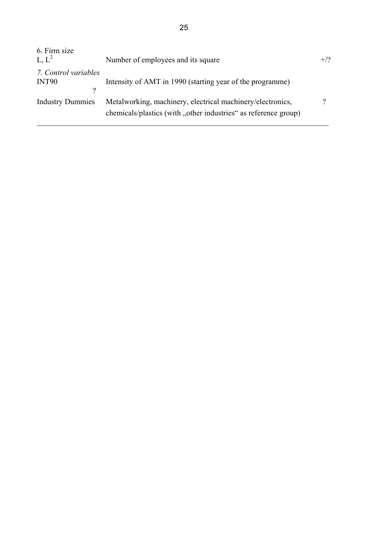| 6. Firm size<br>$L, L^2$           | Number of employees and its square                                                                                            | $+$ /? |
|------------------------------------|-------------------------------------------------------------------------------------------------------------------------------|--------|
| 7. Control variables<br>INT90<br>? | Intensity of AMT in 1990 (starting year of the programme)                                                                     |        |
| <b>Industry Dummies</b>            | Metalworking, machinery, electrical machinery/electronics,<br>chemicals/plastics (with "other industries" as reference group) |        |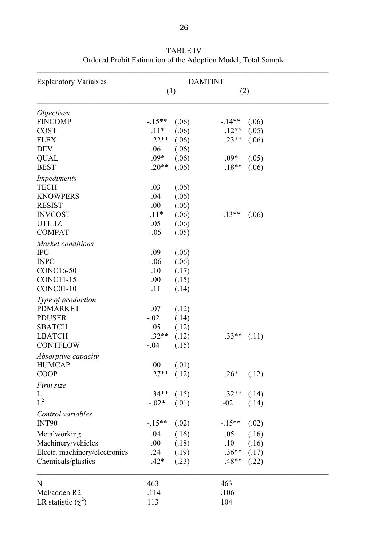| <b>Explanatory Variables</b>  |          |       |         |       |  |
|-------------------------------|----------|-------|---------|-------|--|
|                               |          | (1)   |         | (2)   |  |
| <i>Objectives</i>             |          |       |         |       |  |
| <b>FINCOMP</b>                | $-15**$  | (.06) | $-14**$ | (.06) |  |
| <b>COST</b>                   | $.11*$   | (.06) | $.12**$ | (.05) |  |
| <b>FLEX</b>                   | $.22**$  | (.06) | $.23**$ | (.06) |  |
| <b>DEV</b>                    | .06      | (.06) |         |       |  |
| <b>QUAL</b>                   | $.09*$   | (.06) | $.09*$  | (.05) |  |
| <b>BEST</b>                   | $.20**$  | (.06) | $.18**$ | (.06) |  |
| <i>Impediments</i>            |          |       |         |       |  |
| <b>TECH</b>                   | .03      | (.06) |         |       |  |
| <b>KNOWPERS</b>               | .04      | (.06) |         |       |  |
| <b>RESIST</b>                 | .00.     | (.06) |         |       |  |
| <b>INVCOST</b>                | $-.11*$  | (.06) | $-13**$ | (.06) |  |
| <b>UTILIZ</b>                 | .05      | (.06) |         |       |  |
| <b>COMPAT</b>                 | $-.05$   | (.05) |         |       |  |
| Market conditions             |          |       |         |       |  |
| <b>IPC</b>                    | .09      | (.06) |         |       |  |
| <b>INPC</b>                   | $-.06$   | (.06) |         |       |  |
| <b>CONC16-50</b>              | .10      | (.17) |         |       |  |
| <b>CONC11-15</b>              | .00      | (.15) |         |       |  |
| <b>CONC01-10</b>              | .11      | (.14) |         |       |  |
| Type of production            |          |       |         |       |  |
| <b>PDMARKET</b>               | .07      | (.12) |         |       |  |
| <b>PDUSER</b>                 | $-.02$   | (.14) |         |       |  |
| <b>SBATCH</b>                 | .05      | (.12) |         |       |  |
| <b>LBATCH</b>                 | $.32**$  | (.12) | $.33**$ | (.11) |  |
| <b>CONTFLOW</b>               | $-.04$   | (.15) |         |       |  |
| Absorptive capacity           |          |       |         |       |  |
| <b>HUMCAP</b>                 | .00.     | (.01) |         |       |  |
| <b>COOP</b>                   | $.27**$  | (.12) | $.26*$  | (.12) |  |
| Firm size                     |          |       |         |       |  |
| L                             | $.34**$  | (.15) | $.32**$ | (.14) |  |
| $L^2$                         | $-0.02*$ | (.01) | $-02$   | (.14) |  |
| Control variables             |          |       |         |       |  |
| INT90                         | $-15**$  | (.02) | $-15**$ | (.02) |  |
| Metalworking                  | .04      | (.16) | .05     | (.16) |  |
| Machinery/vehicles            | .00.     | (.18) | .10     | (.16) |  |
| Electr. machinery/electronics | .24      | (.19) | $.36**$ | (.17) |  |
| Chemicals/plastics            | $.42*$   | (.23) | $.48**$ | (.22) |  |
| N                             | 463      |       | 463     |       |  |
| McFadden R2                   | .114     |       | .106    |       |  |
| LR statistic $(\chi^2)$       | 113      |       | 104     |       |  |

TABLE IV Ordered Probit Estimation of the Adoption Model; Total Sample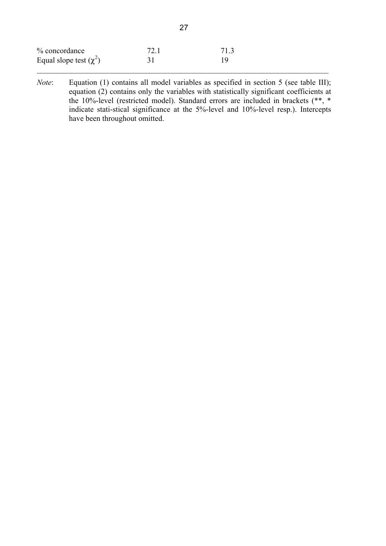| $%$ concordance             | 72.1 | 713 |  |
|-----------------------------|------|-----|--|
| Equal slope test $(\chi^2)$ |      | 1 Q |  |

*Note*: Equation (1) contains all model variables as specified in section 5 (see table III); equation (2) contains only the variables with statistically significant coefficients at the 10%-level (restricted model). Standard errors are included in brackets (\*\*, \* indicate stati-stical significance at the 5%-level and 10%-level resp.). Intercepts have been throughout omitted.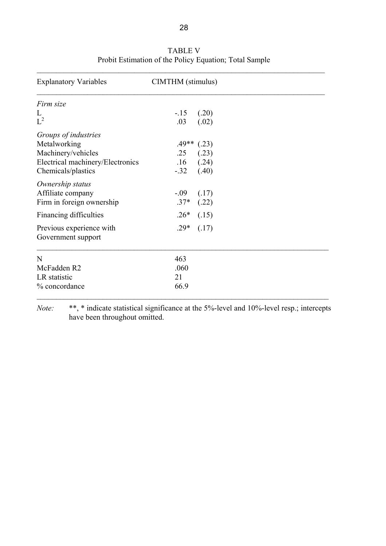| <b>Explanatory Variables</b>     | CIMTHM (stimulus) |  |  |  |  |  |
|----------------------------------|-------------------|--|--|--|--|--|
| Firm size                        |                   |  |  |  |  |  |
| L                                | $-.15$<br>(.20)   |  |  |  |  |  |
| $L^2$                            | .03<br>(.02)      |  |  |  |  |  |
| Groups of industries             |                   |  |  |  |  |  |
| Metalworking                     | $.49**$ (.23)     |  |  |  |  |  |
| Machinery/vehicles               | .25<br>(.23)      |  |  |  |  |  |
| Electrical machinery/Electronics | .16<br>(.24)      |  |  |  |  |  |
| Chemicals/plastics               | $-.32$<br>(.40)   |  |  |  |  |  |
| Ownership status                 |                   |  |  |  |  |  |
| Affiliate company                | $-.09$<br>(.17)   |  |  |  |  |  |
| Firm in foreign ownership        | $.37*$<br>(.22)   |  |  |  |  |  |
| Financing difficulties           | $.26*$<br>(.15)   |  |  |  |  |  |
| Previous experience with         | $.29*$<br>(.17)   |  |  |  |  |  |
| Government support               |                   |  |  |  |  |  |
| N                                | 463               |  |  |  |  |  |
| McFadden R2                      | .060              |  |  |  |  |  |
| LR statistic                     | 21                |  |  |  |  |  |
| % concordance                    | 66.9              |  |  |  |  |  |

TABLE V Probit Estimation of the Policy Equation; Total Sample

*Note:* \*\*, \* indicate statistical significance at the 5%-level and 10%-level resp.; intercepts have been throughout omitted.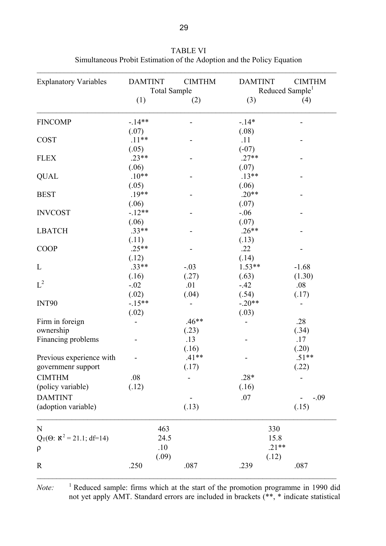| <b>Explanatory Variables</b>              | <b>DAMTINT</b><br><b>CIMTHM</b><br><b>Total Sample</b> |       |         |  | <b>DAMTINT</b><br><b>CIMTHM</b><br>Reduced Sample <sup>1</sup> |         |         |  |
|-------------------------------------------|--------------------------------------------------------|-------|---------|--|----------------------------------------------------------------|---------|---------|--|
|                                           | (1)                                                    |       | (2)     |  | (3)                                                            |         | (4)     |  |
| <b>FINCOMP</b>                            | $-14**$                                                |       |         |  | $-14*$                                                         |         |         |  |
|                                           | (.07)                                                  |       |         |  | (.08)                                                          |         |         |  |
| <b>COST</b>                               | $.11**$                                                |       |         |  | .11                                                            |         |         |  |
|                                           | (.05)                                                  |       |         |  | $(-07)$                                                        |         |         |  |
| <b>FLEX</b>                               | $.23**$                                                |       |         |  | $.27**$                                                        |         |         |  |
|                                           | (.06)                                                  |       |         |  | (.07)                                                          |         |         |  |
| <b>QUAL</b>                               | $.10**$                                                |       |         |  | $.13**$                                                        |         |         |  |
|                                           | (.05)                                                  |       |         |  | (.06)                                                          |         |         |  |
| <b>BEST</b>                               | $.19**$                                                |       |         |  | $.20**$                                                        |         |         |  |
|                                           | (.06)                                                  |       |         |  | (.07)                                                          |         |         |  |
| <b>INVCOST</b>                            | $-12**$                                                |       |         |  | $-.06$                                                         |         |         |  |
|                                           | (.06)                                                  |       |         |  | (.07)                                                          |         |         |  |
| <b>LBATCH</b>                             | $.33**$                                                |       |         |  | $.26**$                                                        |         |         |  |
|                                           | (.11)                                                  |       |         |  | (.13)                                                          |         |         |  |
| <b>COOP</b>                               | $.25**$                                                |       |         |  | .22                                                            |         |         |  |
|                                           | (.12)                                                  |       |         |  | (.14)                                                          |         |         |  |
| L                                         | $.33**$                                                |       | $-.03$  |  | $1.53**$                                                       |         | $-1.68$ |  |
|                                           | (.16)                                                  |       | (.27)   |  | (.63)                                                          |         | (1.30)  |  |
| $L^2$                                     | $-.02$                                                 |       | .01     |  | $-42$                                                          |         | .08     |  |
|                                           | (.02)                                                  |       | (.04)   |  | (.54)                                                          |         | (.17)   |  |
| INT90                                     | $-15**$                                                |       |         |  | $-.20**$                                                       |         |         |  |
|                                           | (.02)                                                  |       |         |  | (.03)                                                          |         |         |  |
| Firm in foreign                           |                                                        |       | $.46**$ |  |                                                                |         | .28     |  |
| ownership                                 |                                                        |       | (.23)   |  |                                                                |         | (.34)   |  |
| Financing problems                        |                                                        |       | .13     |  |                                                                |         | .17     |  |
|                                           |                                                        |       | (.16)   |  |                                                                |         | (.20)   |  |
| Previous experience with                  |                                                        |       | $.41**$ |  |                                                                |         | $.51**$ |  |
| governmenr support                        |                                                        |       | (.17)   |  |                                                                |         | (.22)   |  |
| <b>CIMTHM</b>                             | .08                                                    |       |         |  | $.28*$                                                         |         |         |  |
| (policy variable)                         | (.12)                                                  |       |         |  | (.16)                                                          |         |         |  |
| <b>DAMTINT</b>                            |                                                        |       |         |  | .07                                                            |         | $-.09$  |  |
| (adoption variable)                       |                                                        |       | (.13)   |  |                                                                |         | (.15)   |  |
| N                                         |                                                        | 463   |         |  |                                                                | 330     |         |  |
| $Q_T(\Theta: \mathbf{x}^2 = 21.1; df=14)$ |                                                        | 24.5  |         |  |                                                                | 15.8    |         |  |
| $\rho$                                    |                                                        | .10   |         |  |                                                                | $.21**$ |         |  |
|                                           |                                                        | (.09) |         |  |                                                                | (.12)   |         |  |
| $\mathbf R$                               | .250                                                   |       | .087    |  | .239                                                           |         | .087    |  |
|                                           |                                                        |       |         |  |                                                                |         |         |  |

TABLE VI Simultaneous Probit Estimation of the Adoption and the Policy Equation

 $\mathcal{L}_\mathcal{L} = \{ \mathcal{L}_\mathcal{L} = \{ \mathcal{L}_\mathcal{L} = \{ \mathcal{L}_\mathcal{L} = \{ \mathcal{L}_\mathcal{L} = \{ \mathcal{L}_\mathcal{L} = \{ \mathcal{L}_\mathcal{L} = \{ \mathcal{L}_\mathcal{L} = \{ \mathcal{L}_\mathcal{L} = \{ \mathcal{L}_\mathcal{L} = \{ \mathcal{L}_\mathcal{L} = \{ \mathcal{L}_\mathcal{L} = \{ \mathcal{L}_\mathcal{L} = \{ \mathcal{L}_\mathcal{L} = \{ \mathcal{L}_\mathcal{$ 

*Note*: <sup>1</sup> Reduced sample: firms which at the start of the promotion programme in 1990 did not yet apply AMT. Standard errors are included in brackets (\*\*, \* indicate statistical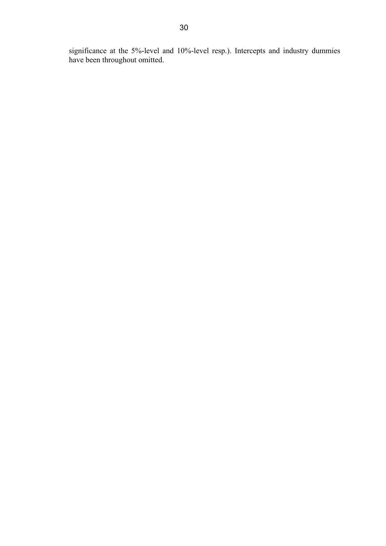significance at the 5%-level and 10%-level resp.). Intercepts and industry dummies have been throughout omitted.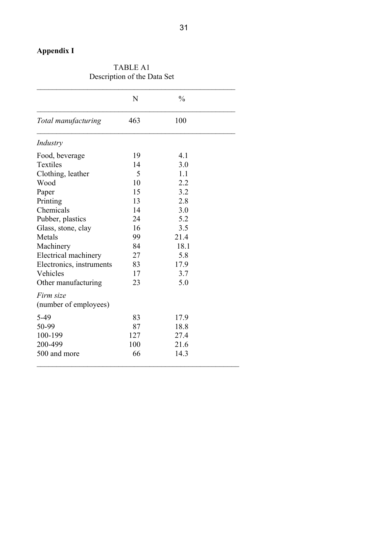# **Appendix I**

 TABLE A1 Description of the Data Set

|                          | N   | $\frac{0}{0}$ |  |
|--------------------------|-----|---------------|--|
| Total manufacturing      | 463 | 100           |  |
| Industry                 |     |               |  |
| Food, beverage           | 19  | 4.1           |  |
| <b>Textiles</b>          | 14  | 3.0           |  |
| Clothing, leather        | 5   | 1.1           |  |
| Wood                     | 10  | 2.2           |  |
| Paper                    | 15  | 3.2           |  |
| Printing                 | 13  | 2.8           |  |
| Chemicals                | 14  | 3.0           |  |
| Pubber, plastics         | 24  | 5.2           |  |
| Glass, stone, clay       | 16  | 3.5           |  |
| Metals                   | 99  | 21.4          |  |
| Machinery                | 84  | 18.1          |  |
| Electrical machinery     | 27  | 5.8           |  |
| Electronics, instruments | 83  | 17.9          |  |
| Vehicles                 | 17  | 3.7           |  |
| Other manufacturing      | 23  | 5.0           |  |
| Firm size                |     |               |  |
| (number of employees)    |     |               |  |
| 5-49                     | 83  | 17.9          |  |
| 50-99                    | 87  | 18.8          |  |
| 100-199                  | 127 | 27.4          |  |
| 200-499                  | 100 | 21.6          |  |
| 500 and more             | 66  | 14.3          |  |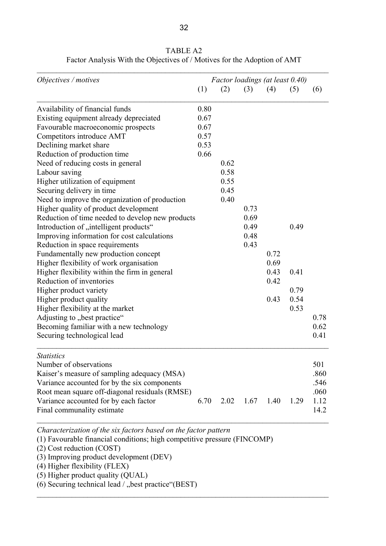| Objectives / motives                             | Factor loadings (at least 0.40) |      |      |      |      |      |
|--------------------------------------------------|---------------------------------|------|------|------|------|------|
|                                                  | (1)                             | (2)  | (3)  | (4)  | (5)  | (6)  |
| Availability of financial funds                  | 0.80                            |      |      |      |      |      |
| Existing equipment already depreciated           | 0.67                            |      |      |      |      |      |
| Favourable macroeconomic prospects               | 0.67                            |      |      |      |      |      |
| Competitors introduce AMT                        | 0.57                            |      |      |      |      |      |
| Declining market share                           | 0.53                            |      |      |      |      |      |
| Reduction of production time                     | 0.66                            |      |      |      |      |      |
| Need of reducing costs in general                |                                 | 0.62 |      |      |      |      |
| Labour saving                                    |                                 | 0.58 |      |      |      |      |
| Higher utilization of equipment                  |                                 | 0.55 |      |      |      |      |
| Securing delivery in time                        |                                 | 0.45 |      |      |      |      |
| Need to improve the organization of production   |                                 | 0.40 |      |      |      |      |
| Higher quality of product development            |                                 |      | 0.73 |      |      |      |
| Reduction of time needed to develop new products |                                 |      | 0.69 |      |      |      |
| Introduction of "intelligent products"           |                                 |      | 0.49 |      | 0.49 |      |
| Improving information for cost calculations      |                                 |      | 0.48 |      |      |      |
| Reduction in space requirements                  |                                 |      | 0.43 |      |      |      |
| Fundamentally new production concept             |                                 |      |      | 0.72 |      |      |
| Higher flexibility of work organisation          |                                 |      |      | 0.69 |      |      |
| Higher flexibility within the firm in general    |                                 |      |      | 0.43 | 0.41 |      |
| Reduction of inventories                         |                                 |      |      | 0.42 |      |      |
| Higher product variety                           |                                 |      |      |      | 0.79 |      |
| Higher product quality                           |                                 |      |      | 0.43 | 0.54 |      |
| Higher flexibility at the market                 |                                 |      |      |      | 0.53 |      |
| Adjusting to "best practice"                     |                                 |      |      |      |      | 0.78 |
| Becoming familiar with a new technology          |                                 |      |      |      |      | 0.62 |
| Securing technological lead                      |                                 |      |      |      |      | 0.41 |
| <b>Statistics</b>                                |                                 |      |      |      |      |      |
| Number of observations                           |                                 |      |      |      |      | 501  |
| Kaiser's measure of sampling adequacy (MSA)      |                                 |      |      |      |      | .860 |
| Variance accounted for by the six components     |                                 |      |      |      |      | .546 |
| Root mean square off-diagonal residuals (RMSE)   |                                 |      |      |      |      | .060 |
| Variance accounted for by each factor            | 6.70                            | 2.02 | 1.67 | 1.40 | 1.29 | 1.12 |
| Final communality estimate                       |                                 |      |      |      |      | 14.2 |
|                                                  |                                 |      |      |      |      |      |

TABLE A2 Factor Analysis With the Objectives of / Motives for the Adoption of AMT

*Characterization of the six factors based on the factor pattern*

(1) Favourable financial conditions; high competitive pressure (FINCOMP)

 $\mathcal{L}_\mathcal{L} = \{ \mathcal{L}_\mathcal{L} = \{ \mathcal{L}_\mathcal{L} = \{ \mathcal{L}_\mathcal{L} = \{ \mathcal{L}_\mathcal{L} = \{ \mathcal{L}_\mathcal{L} = \{ \mathcal{L}_\mathcal{L} = \{ \mathcal{L}_\mathcal{L} = \{ \mathcal{L}_\mathcal{L} = \{ \mathcal{L}_\mathcal{L} = \{ \mathcal{L}_\mathcal{L} = \{ \mathcal{L}_\mathcal{L} = \{ \mathcal{L}_\mathcal{L} = \{ \mathcal{L}_\mathcal{L} = \{ \mathcal{L}_\mathcal{$ 

(2) Cost reduction (COST)

(3) Improving product development (DEV)

(4) Higher flexibility (FLEX)

(5) Higher product quality (QUAL)

 $(6)$  Securing technical lead  $/$  "best practice"(BEST)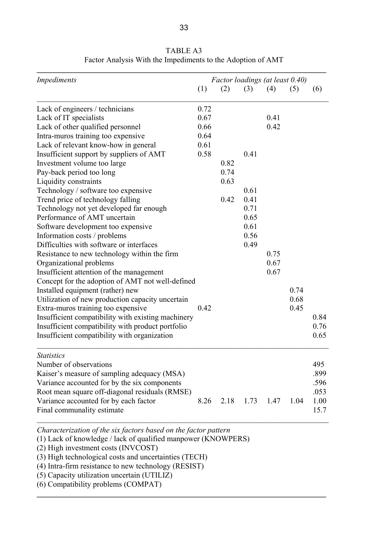| Impediments                                        | Factor loadings (at least 0.40) |      |      |      |      |      |
|----------------------------------------------------|---------------------------------|------|------|------|------|------|
|                                                    | (1)                             | (2)  | (3)  | (4)  | (5)  | (6)  |
| Lack of engineers / technicians                    | 0.72                            |      |      |      |      |      |
| Lack of IT specialists                             | 0.67                            |      |      | 0.41 |      |      |
| Lack of other qualified personnel                  | 0.66                            |      |      | 0.42 |      |      |
| Intra-muros training too expensive                 | 0.64                            |      |      |      |      |      |
| Lack of relevant know-how in general               | 0.61                            |      |      |      |      |      |
| Insufficient support by suppliers of AMT           | 0.58                            |      | 0.41 |      |      |      |
| Investment volume too large                        |                                 | 0.82 |      |      |      |      |
| Pay-back period too long                           |                                 | 0.74 |      |      |      |      |
| Liquidity constraints                              |                                 | 0.63 |      |      |      |      |
| Technology / software too expensive                |                                 |      | 0.61 |      |      |      |
| Trend price of technology falling                  |                                 | 0.42 | 0.41 |      |      |      |
| Technology not yet developed far enough            |                                 |      | 0.71 |      |      |      |
| Performance of AMT uncertain                       |                                 |      | 0.65 |      |      |      |
| Software development too expensive                 |                                 |      | 0.61 |      |      |      |
| Information costs / problems                       |                                 |      | 0.56 |      |      |      |
| Difficulties with software or interfaces           |                                 |      | 0.49 |      |      |      |
| Resistance to new technology within the firm       |                                 |      |      | 0.75 |      |      |
| Organizational problems                            |                                 |      |      | 0.67 |      |      |
| Insufficient attention of the management           |                                 |      |      | 0.67 |      |      |
| Concept for the adoption of AMT not well-defined   |                                 |      |      |      |      |      |
| Installed equipment (rather) new                   |                                 |      |      |      | 0.74 |      |
| Utilization of new production capacity uncertain   |                                 |      |      |      | 0.68 |      |
| Extra-muros training too expensive                 | 0.42                            |      |      |      | 0.45 |      |
| Insufficient compatibility with existing machinery |                                 |      |      |      |      | 0.84 |
| Insufficient compatibility with product portfolio  |                                 |      |      |      |      | 0.76 |
| Insufficient compatibility with organization       |                                 |      |      |      |      | 0.65 |
| <i>Statistics</i>                                  |                                 |      |      |      |      |      |
| Number of observations                             |                                 |      |      |      |      | 495  |
| Kaiser's measure of sampling adequacy (MSA)        |                                 |      |      |      |      | .899 |
| Variance accounted for by the six components       |                                 |      |      |      |      | .596 |
| Root mean square off-diagonal residuals (RMSE)     |                                 |      |      |      |      | .053 |
| Variance accounted for by each factor              | 8.26                            | 2.18 | 1.73 | 1.47 | 1.04 | 1.00 |
| Final communality estimate                         |                                 |      |      |      |      | 15.7 |
|                                                    |                                 |      |      |      |      |      |

TABLE A3 Factor Analysis With the Impediments to the Adoption of AMT

*Characterization of the six factors based on the factor pattern*

(1) Lack of knowledge / lack of qualified manpower (KNOWPERS)

 $\mathcal{L}_\mathcal{L} = \mathcal{L}_\mathcal{L} = \mathcal{L}_\mathcal{L} = \mathcal{L}_\mathcal{L} = \mathcal{L}_\mathcal{L} = \mathcal{L}_\mathcal{L} = \mathcal{L}_\mathcal{L} = \mathcal{L}_\mathcal{L} = \mathcal{L}_\mathcal{L} = \mathcal{L}_\mathcal{L} = \mathcal{L}_\mathcal{L} = \mathcal{L}_\mathcal{L} = \mathcal{L}_\mathcal{L} = \mathcal{L}_\mathcal{L} = \mathcal{L}_\mathcal{L} = \mathcal{L}_\mathcal{L} = \mathcal{L}_\mathcal{L}$ 

(2) High investment costs (INVCOST)

(3) High technological costs and uncertainties (TECH)

(4) Intra-firm resistance to new technology (RESIST)

 $(5)$  Capacity utilization uncertain (UTILIZ)

(6) Compatibility problems (COMPAT)